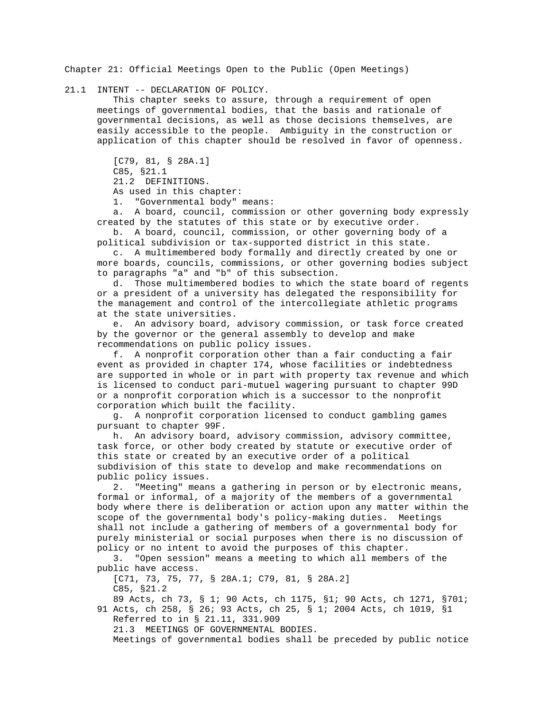Chapter 21: Official Meetings Open to the Public (Open Meetings)

21.1 INTENT -- DECLARATION OF POLICY.

 This chapter seeks to assure, through a requirement of open meetings of governmental bodies, that the basis and rationale of governmental decisions, as well as those decisions themselves, are easily accessible to the people. Ambiguity in the construction or application of this chapter should be resolved in favor of openness.

 [C79, 81, § 28A.1] C85, §21.1 21.2 DEFINITIONS. As used in this chapter:

1. "Governmental body" means:

 a. A board, council, commission or other governing body expressly created by the statutes of this state or by executive order.

 b. A board, council, commission, or other governing body of a political subdivision or tax-supported district in this state.

 c. A multimembered body formally and directly created by one or more boards, councils, commissions, or other governing bodies subject to paragraphs "a" and "b" of this subsection.

 d. Those multimembered bodies to which the state board of regents or a president of a university has delegated the responsibility for the management and control of the intercollegiate athletic programs at the state universities.

 e. An advisory board, advisory commission, or task force created by the governor or the general assembly to develop and make recommendations on public policy issues.

 f. A nonprofit corporation other than a fair conducting a fair event as provided in chapter 174, whose facilities or indebtedness are supported in whole or in part with property tax revenue and which is licensed to conduct pari-mutuel wagering pursuant to chapter 99D or a nonprofit corporation which is a successor to the nonprofit corporation which built the facility.

 g. A nonprofit corporation licensed to conduct gambling games pursuant to chapter 99F.

 h. An advisory board, advisory commission, advisory committee, task force, or other body created by statute or executive order of this state or created by an executive order of a political subdivision of this state to develop and make recommendations on public policy issues.

 2. "Meeting" means a gathering in person or by electronic means, formal or informal, of a majority of the members of a governmental body where there is deliberation or action upon any matter within the scope of the governmental body's policy-making duties. Meetings shall not include a gathering of members of a governmental body for purely ministerial or social purposes when there is no discussion of policy or no intent to avoid the purposes of this chapter.

 3. "Open session" means a meeting to which all members of the public have access.

 [C71, 73, 75, 77, § 28A.1; C79, 81, § 28A.2] C85, §21.2

 89 Acts, ch 73, § 1; 90 Acts, ch 1175, §1; 90 Acts, ch 1271, §701; 91 Acts, ch 258, § 26; 93 Acts, ch 25, § 1; 2004 Acts, ch 1019, §1 Referred to in § 21.11, 331.909

21.3 MEETINGS OF GOVERNMENTAL BODIES.

Meetings of governmental bodies shall be preceded by public notice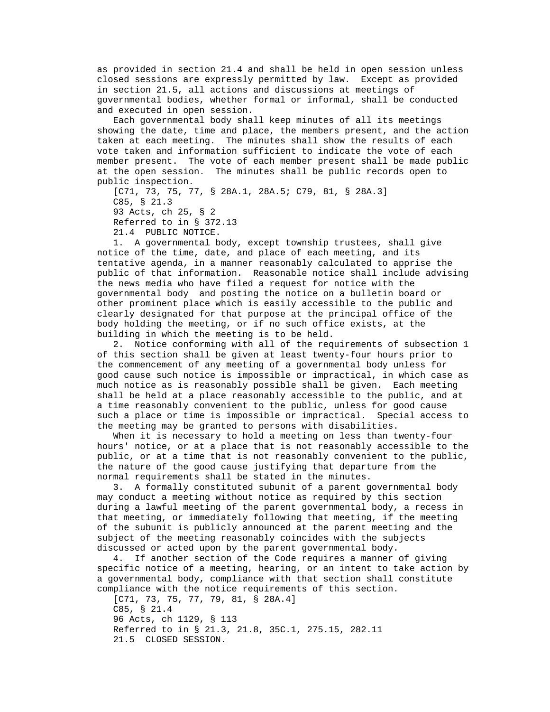as provided in section 21.4 and shall be held in open session unless closed sessions are expressly permitted by law. Except as provided in section 21.5, all actions and discussions at meetings of governmental bodies, whether formal or informal, shall be conducted and executed in open session.

 Each governmental body shall keep minutes of all its meetings showing the date, time and place, the members present, and the action taken at each meeting. The minutes shall show the results of each vote taken and information sufficient to indicate the vote of each member present. The vote of each member present shall be made public at the open session. The minutes shall be public records open to public inspection.

 [C71, 73, 75, 77, § 28A.1, 28A.5; C79, 81, § 28A.3] C85, § 21.3 93 Acts, ch 25, § 2 Referred to in § 372.13 21.4 PUBLIC NOTICE.

 1. A governmental body, except township trustees, shall give notice of the time, date, and place of each meeting, and its tentative agenda, in a manner reasonably calculated to apprise the public of that information. Reasonable notice shall include advising the news media who have filed a request for notice with the governmental body and posting the notice on a bulletin board or other prominent place which is easily accessible to the public and clearly designated for that purpose at the principal office of the body holding the meeting, or if no such office exists, at the building in which the meeting is to be held.

 2. Notice conforming with all of the requirements of subsection 1 of this section shall be given at least twenty-four hours prior to the commencement of any meeting of a governmental body unless for good cause such notice is impossible or impractical, in which case as much notice as is reasonably possible shall be given. Each meeting shall be held at a place reasonably accessible to the public, and at a time reasonably convenient to the public, unless for good cause such a place or time is impossible or impractical. Special access to the meeting may be granted to persons with disabilities.

 When it is necessary to hold a meeting on less than twenty-four hours' notice, or at a place that is not reasonably accessible to the public, or at a time that is not reasonably convenient to the public, the nature of the good cause justifying that departure from the normal requirements shall be stated in the minutes.

 3. A formally constituted subunit of a parent governmental body may conduct a meeting without notice as required by this section during a lawful meeting of the parent governmental body, a recess in that meeting, or immediately following that meeting, if the meeting of the subunit is publicly announced at the parent meeting and the subject of the meeting reasonably coincides with the subjects discussed or acted upon by the parent governmental body.

 4. If another section of the Code requires a manner of giving specific notice of a meeting, hearing, or an intent to take action by a governmental body, compliance with that section shall constitute compliance with the notice requirements of this section.

 [C71, 73, 75, 77, 79, 81, § 28A.4] C85, § 21.4 96 Acts, ch 1129, § 113 Referred to in § 21.3, 21.8, 35C.1, 275.15, 282.11 21.5 CLOSED SESSION.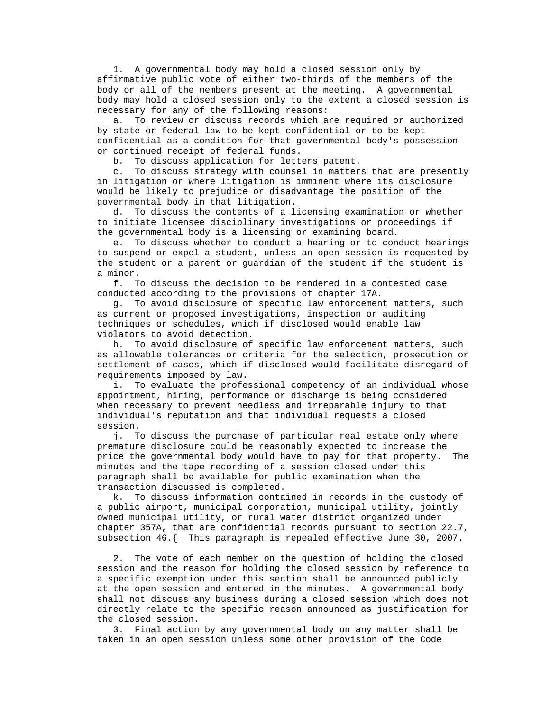1. A governmental body may hold a closed session only by affirmative public vote of either two-thirds of the members of the body or all of the members present at the meeting. A governmental body may hold a closed session only to the extent a closed session is necessary for any of the following reasons:

 a. To review or discuss records which are required or authorized by state or federal law to be kept confidential or to be kept confidential as a condition for that governmental body's possession or continued receipt of federal funds.

b. To discuss application for letters patent.

 c. To discuss strategy with counsel in matters that are presently in litigation or where litigation is imminent where its disclosure would be likely to prejudice or disadvantage the position of the governmental body in that litigation.

 d. To discuss the contents of a licensing examination or whether to initiate licensee disciplinary investigations or proceedings if the governmental body is a licensing or examining board.

 e. To discuss whether to conduct a hearing or to conduct hearings to suspend or expel a student, unless an open session is requested by the student or a parent or guardian of the student if the student is a minor.

 f. To discuss the decision to be rendered in a contested case conducted according to the provisions of chapter 17A.

 g. To avoid disclosure of specific law enforcement matters, such as current or proposed investigations, inspection or auditing techniques or schedules, which if disclosed would enable law violators to avoid detection.

 h. To avoid disclosure of specific law enforcement matters, such as allowable tolerances or criteria for the selection, prosecution or settlement of cases, which if disclosed would facilitate disregard of requirements imposed by law.

 i. To evaluate the professional competency of an individual whose appointment, hiring, performance or discharge is being considered when necessary to prevent needless and irreparable injury to that individual's reputation and that individual requests a closed session.

 j. To discuss the purchase of particular real estate only where premature disclosure could be reasonably expected to increase the price the governmental body would have to pay for that property. The minutes and the tape recording of a session closed under this paragraph shall be available for public examination when the transaction discussed is completed.

 k. To discuss information contained in records in the custody of a public airport, municipal corporation, municipal utility, jointly owned municipal utility, or rural water district organized under chapter 357A, that are confidential records pursuant to section 22.7, subsection 46.{ This paragraph is repealed effective June 30, 2007.

 2. The vote of each member on the question of holding the closed session and the reason for holding the closed session by reference to a specific exemption under this section shall be announced publicly at the open session and entered in the minutes. A governmental body shall not discuss any business during a closed session which does not directly relate to the specific reason announced as justification for the closed session.

 3. Final action by any governmental body on any matter shall be taken in an open session unless some other provision of the Code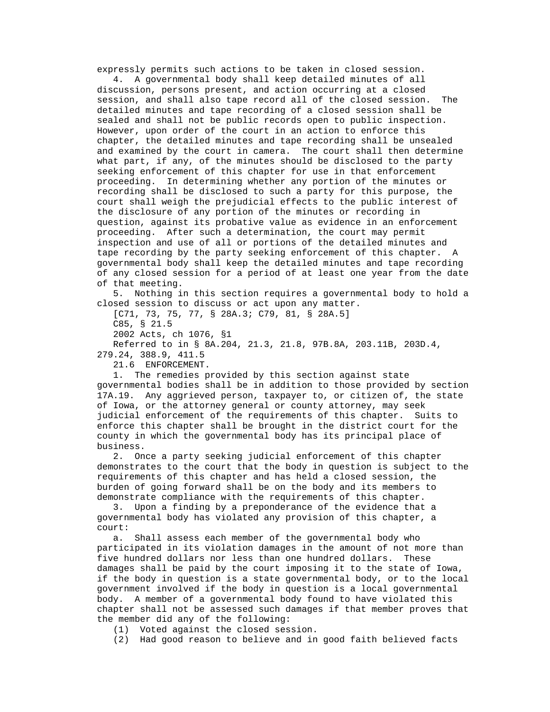expressly permits such actions to be taken in closed session.

 4. A governmental body shall keep detailed minutes of all discussion, persons present, and action occurring at a closed session, and shall also tape record all of the closed session. The detailed minutes and tape recording of a closed session shall be sealed and shall not be public records open to public inspection. However, upon order of the court in an action to enforce this chapter, the detailed minutes and tape recording shall be unsealed and examined by the court in camera. The court shall then determine what part, if any, of the minutes should be disclosed to the party seeking enforcement of this chapter for use in that enforcement proceeding. In determining whether any portion of the minutes or recording shall be disclosed to such a party for this purpose, the court shall weigh the prejudicial effects to the public interest of the disclosure of any portion of the minutes or recording in question, against its probative value as evidence in an enforcement proceeding. After such a determination, the court may permit inspection and use of all or portions of the detailed minutes and tape recording by the party seeking enforcement of this chapter. A governmental body shall keep the detailed minutes and tape recording of any closed session for a period of at least one year from the date of that meeting.

 5. Nothing in this section requires a governmental body to hold a closed session to discuss or act upon any matter.

[C71, 73, 75, 77, § 28A.3; C79, 81, § 28A.5]

C85, § 21.5

2002 Acts, ch 1076, §1

 Referred to in § 8A.204, 21.3, 21.8, 97B.8A, 203.11B, 203D.4, 279.24, 388.9, 411.5

21.6 ENFORCEMENT.

 1. The remedies provided by this section against state governmental bodies shall be in addition to those provided by section 17A.19. Any aggrieved person, taxpayer to, or citizen of, the state of Iowa, or the attorney general or county attorney, may seek judicial enforcement of the requirements of this chapter. Suits to enforce this chapter shall be brought in the district court for the county in which the governmental body has its principal place of business.

 2. Once a party seeking judicial enforcement of this chapter demonstrates to the court that the body in question is subject to the requirements of this chapter and has held a closed session, the burden of going forward shall be on the body and its members to demonstrate compliance with the requirements of this chapter.

 3. Upon a finding by a preponderance of the evidence that a governmental body has violated any provision of this chapter, a court:

 a. Shall assess each member of the governmental body who participated in its violation damages in the amount of not more than five hundred dollars nor less than one hundred dollars. These damages shall be paid by the court imposing it to the state of Iowa, if the body in question is a state governmental body, or to the local government involved if the body in question is a local governmental body. A member of a governmental body found to have violated this chapter shall not be assessed such damages if that member proves that the member did any of the following:

(1) Voted against the closed session.

(2) Had good reason to believe and in good faith believed facts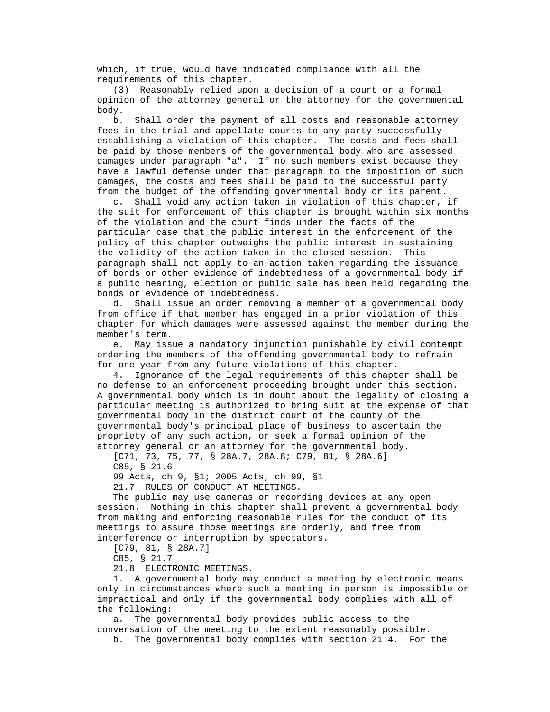which, if true, would have indicated compliance with all the requirements of this chapter.

 (3) Reasonably relied upon a decision of a court or a formal opinion of the attorney general or the attorney for the governmental body.

 b. Shall order the payment of all costs and reasonable attorney fees in the trial and appellate courts to any party successfully establishing a violation of this chapter. The costs and fees shall be paid by those members of the governmental body who are assessed damages under paragraph "a". If no such members exist because they have a lawful defense under that paragraph to the imposition of such damages, the costs and fees shall be paid to the successful party from the budget of the offending governmental body or its parent.

 c. Shall void any action taken in violation of this chapter, if the suit for enforcement of this chapter is brought within six months of the violation and the court finds under the facts of the particular case that the public interest in the enforcement of the policy of this chapter outweighs the public interest in sustaining the validity of the action taken in the closed session. This paragraph shall not apply to an action taken regarding the issuance of bonds or other evidence of indebtedness of a governmental body if a public hearing, election or public sale has been held regarding the bonds or evidence of indebtedness.

 d. Shall issue an order removing a member of a governmental body from office if that member has engaged in a prior violation of this chapter for which damages were assessed against the member during the member's term.

 e. May issue a mandatory injunction punishable by civil contempt ordering the members of the offending governmental body to refrain for one year from any future violations of this chapter.

 4. Ignorance of the legal requirements of this chapter shall be no defense to an enforcement proceeding brought under this section. A governmental body which is in doubt about the legality of closing a particular meeting is authorized to bring suit at the expense of that governmental body in the district court of the county of the governmental body's principal place of business to ascertain the propriety of any such action, or seek a formal opinion of the attorney general or an attorney for the governmental body.

 [C71, 73, 75, 77, § 28A.7, 28A.8; C79, 81, § 28A.6] C85, § 21.6

99 Acts, ch 9, §1; 2005 Acts, ch 99, §1

21.7 RULES OF CONDUCT AT MEETINGS.

 The public may use cameras or recording devices at any open session. Nothing in this chapter shall prevent a governmental body from making and enforcing reasonable rules for the conduct of its meetings to assure those meetings are orderly, and free from interference or interruption by spectators.

[C79, 81, § 28A.7]

C85, § 21.7

21.8 ELECTRONIC MEETINGS.

 1. A governmental body may conduct a meeting by electronic means only in circumstances where such a meeting in person is impossible or impractical and only if the governmental body complies with all of the following:

 a. The governmental body provides public access to the conversation of the meeting to the extent reasonably possible.

b. The governmental body complies with section 21.4. For the